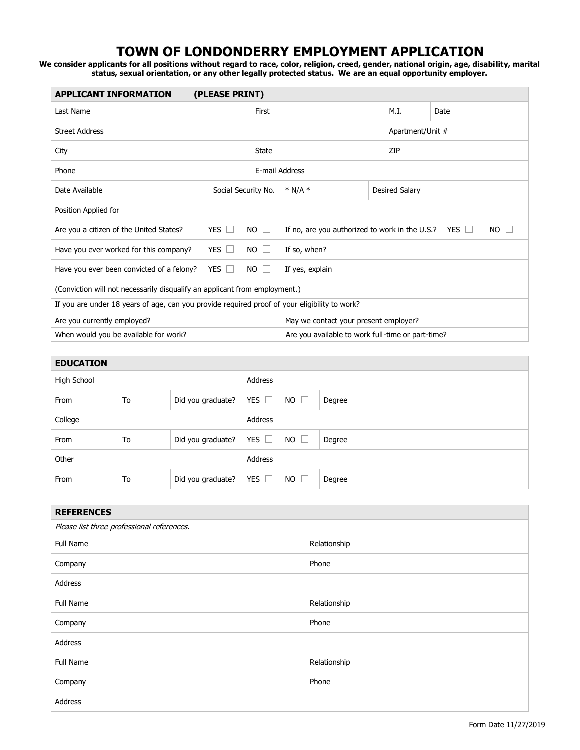## **TOWN OF LONDONDERRY EMPLOYMENT APPLICATION**

**We consider applicants for all positions without regard to race, color, religion, creed, gender, national origin, age, disability, marital status, sexual orientation, or any other legally protected status. We are an equal opportunity employer.**

| <b>APPLICANT INFORMATION</b><br>(PLEASE PRINT)                                                |                                                   |                                      |                                                           |  |                       |           |  |
|-----------------------------------------------------------------------------------------------|---------------------------------------------------|--------------------------------------|-----------------------------------------------------------|--|-----------------------|-----------|--|
| Last Name                                                                                     |                                                   |                                      | First                                                     |  |                       | Date      |  |
| <b>Street Address</b>                                                                         | Apartment/Unit #                                  |                                      |                                                           |  |                       |           |  |
| City                                                                                          |                                                   |                                      | <b>State</b>                                              |  |                       | ZIP       |  |
| Phone                                                                                         |                                                   |                                      | E-mail Address                                            |  |                       |           |  |
| Date Available                                                                                |                                                   | Social Security No.<br>$*$ N/A $*$   |                                                           |  | <b>Desired Salary</b> |           |  |
| Position Applied for                                                                          |                                                   |                                      |                                                           |  |                       |           |  |
| Are you a citizen of the United States?                                                       | YES $\Box$                                        | <b>NO</b><br>$\perp$                 | If no, are you authorized to work in the U.S.? YES $\Box$ |  |                       | <b>NO</b> |  |
| Have you ever worked for this company?                                                        | YES $\Box$                                        | <b>NO</b><br>If so, when?<br>$\perp$ |                                                           |  |                       |           |  |
| Have you ever been convicted of a felony?                                                     | YES $\Box$                                        | $NO \Box$                            | If yes, explain                                           |  |                       |           |  |
| (Conviction will not necessarily disqualify an applicant from employment.)                    |                                                   |                                      |                                                           |  |                       |           |  |
| If you are under 18 years of age, can you provide required proof of your eligibility to work? |                                                   |                                      |                                                           |  |                       |           |  |
| Are you currently employed?<br>May we contact your present employer?                          |                                                   |                                      |                                                           |  |                       |           |  |
| When would you be available for work?                                                         | Are you available to work full-time or part-time? |                                      |                                                           |  |                       |           |  |

| <b>EDUCATION</b> |    |                              |            |             |        |
|------------------|----|------------------------------|------------|-------------|--------|
| High School      |    |                              | Address    |             |        |
| From             | To | Did you graduate?            | YES $\Box$ | $NO$ $\Box$ | Degree |
| College          |    |                              | Address    |             |        |
| From             | To | Did you graduate?            | YES $\Box$ | $NO$ $\Box$ | Degree |
| Other            |    |                              | Address    |             |        |
| From             | To | Did you graduate? YES $\Box$ |            | $NO$ $\Box$ | Degree |

| <b>REFERENCES</b>                          |              |  |  |  |  |
|--------------------------------------------|--------------|--|--|--|--|
| Please list three professional references. |              |  |  |  |  |
| Full Name                                  | Relationship |  |  |  |  |
| Company                                    | Phone        |  |  |  |  |
| Address                                    |              |  |  |  |  |
| Full Name                                  | Relationship |  |  |  |  |
| Company                                    | Phone        |  |  |  |  |
| Address                                    |              |  |  |  |  |
| Full Name                                  | Relationship |  |  |  |  |
| Company                                    | Phone        |  |  |  |  |
| Address                                    |              |  |  |  |  |